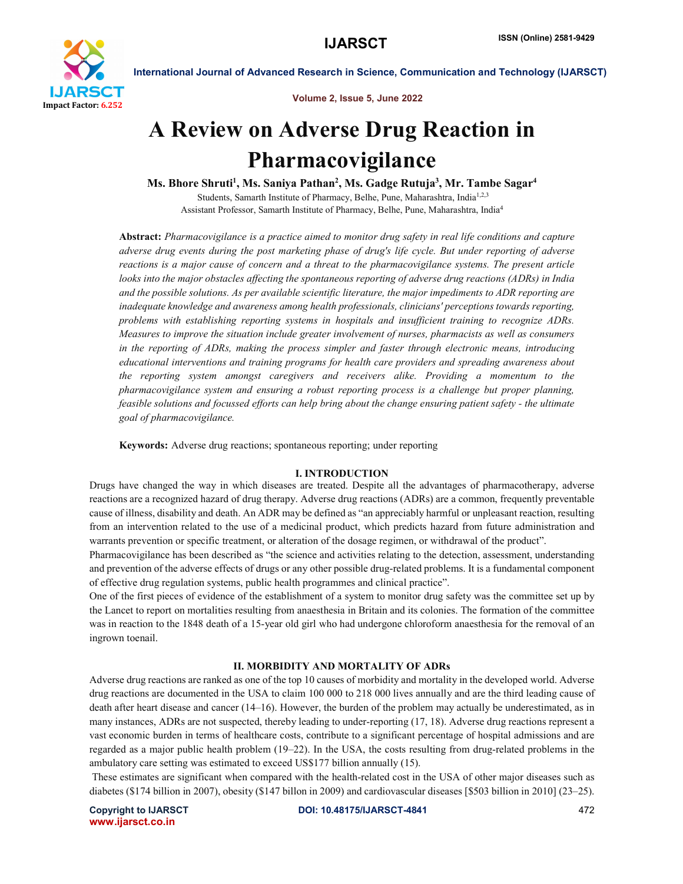

Volume 2, Issue 5, June 2022

International Journal of Advanced Research in Science, Communication and Technology (IJARSCT)

# A Review on Adverse Drug Reaction in Pharmacovigilance

Ms. Bhore Shruti<sup>1</sup>, Ms. Saniya Pathan<sup>2</sup>, Ms. Gadge Rutuja<sup>3</sup>, Mr. Tambe Sagar<sup>4</sup> Students, Samarth Institute of Pharmacy, Belhe, Pune, Maharashtra, India<sup>1,2,3</sup>

Assistant Professor, Samarth Institute of Pharmacy, Belhe, Pune, Maharashtra, India4

Abstract: *Pharmacovigilance is a practice aimed to monitor drug safety in real life conditions and capture adverse drug events during the post marketing phase of drug's life cycle. But under reporting of adverse reactions is a major cause of concern and a threat to the pharmacovigilance systems. The present article looks into the major obstacles affecting the spontaneous reporting of adverse drug reactions (ADRs) in India and the possible solutions. As per available scientific literature, the major impediments to ADR reporting are inadequate knowledge and awareness among health professionals, clinicians' perceptions towards reporting, problems with establishing reporting systems in hospitals and insufficient training to recognize ADRs. Measures to improve the situation include greater involvement of nurses, pharmacists as well as consumers in the reporting of ADRs, making the process simpler and faster through electronic means, introducing educational interventions and training programs for health care providers and spreading awareness about the reporting system amongst caregivers and receivers alike. Providing a momentum to the pharmacovigilance system and ensuring a robust reporting process is a challenge but proper planning, feasible solutions and focussed efforts can help bring about the change ensuring patient safety - the ultimate goal of pharmacovigilance.*

Keywords: Adverse drug reactions; spontaneous reporting; under reporting

### I. INTRODUCTION

Drugs have changed the way in which diseases are treated. Despite all the advantages of pharmacotherapy, adverse reactions are a recognized hazard of drug therapy. Adverse drug reactions (ADRs) are a common, frequently preventable cause of illness, disability and death. An ADR may be defined as "an appreciably harmful or unpleasant reaction, resulting from an intervention related to the use of a medicinal product, which predicts hazard from future administration and warrants prevention or specific treatment, or alteration of the dosage regimen, or withdrawal of the product".

Pharmacovigilance has been described as "the science and activities relating to the detection, assessment, understanding and prevention of the adverse effects of drugs or any other possible drug-related problems. It is a fundamental component of effective drug regulation systems, public health programmes and clinical practice".

One of the first pieces of evidence of the establishment of a system to monitor drug safety was the committee set up by the Lancet to report on mortalities resulting from anaesthesia in Britain and its colonies. The formation of the committee was in reaction to the 1848 death of a 15-year old girl who had undergone chloroform anaesthesia for the removal of an ingrown toenail.

### II. MORBIDITY AND MORTALITY OF ADRs

Adverse drug reactions are ranked as one of the top 10 causes of morbidity and mortality in the developed world. Adverse drug reactions are documented in the USA to claim 100 000 to 218 000 lives annually and are the third leading cause of death after heart disease and cancer (14–16). However, the burden of the problem may actually be underestimated, as in many instances, ADRs are not suspected, thereby leading to under-reporting (17, 18). Adverse drug reactions represent a vast economic burden in terms of healthcare costs, contribute to a significant percentage of hospital admissions and are regarded as a major public health problem (19–22). In the USA, the costs resulting from drug-related problems in the ambulatory care setting was estimated to exceed US\$177 billion annually (15).

These estimates are significant when compared with the health-related cost in the USA of other major diseases such as diabetes (\$174 billion in 2007), obesity (\$147 billon in 2009) and cardiovascular diseases [\$503 billion in 2010] (23–25).

www.ijarsct.co.in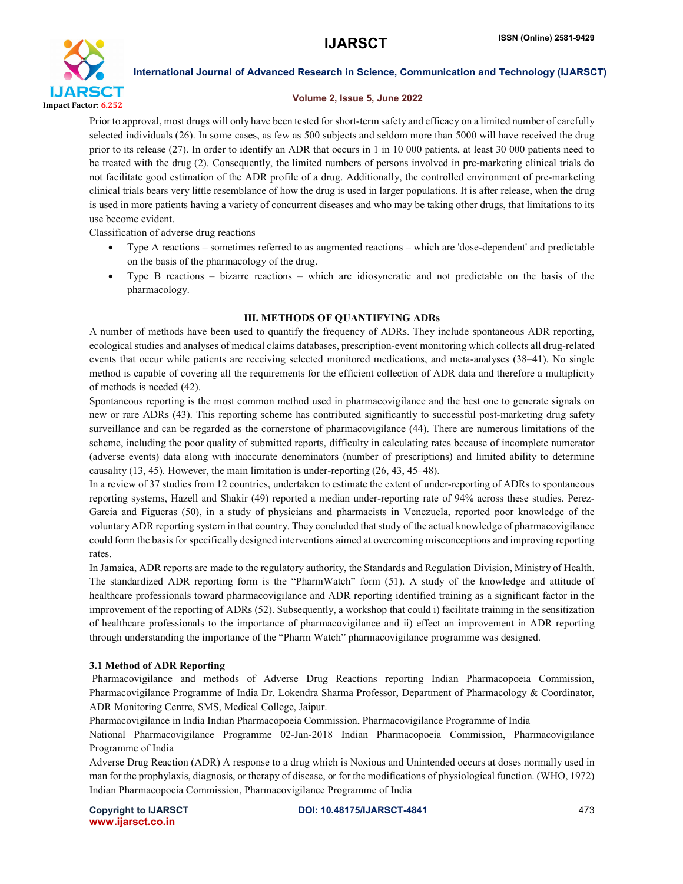

International Journal of Advanced Research in Science, Communication and Technology (IJARSCT)

#### Volume 2, Issue 5, June 2022

Prior to approval, most drugs will only have been tested for short-term safety and efficacy on a limited number of carefully selected individuals (26). In some cases, as few as 500 subjects and seldom more than 5000 will have received the drug prior to its release (27). In order to identify an ADR that occurs in 1 in 10 000 patients, at least 30 000 patients need to be treated with the drug (2). Consequently, the limited numbers of persons involved in pre-marketing clinical trials do not facilitate good estimation of the ADR profile of a drug. Additionally, the controlled environment of pre-marketing clinical trials bears very little resemblance of how the drug is used in larger populations. It is after release, when the drug is used in more patients having a variety of concurrent diseases and who may be taking other drugs, that limitations to its use become evident.

Classification of adverse drug reactions

- Type A reactions sometimes referred to as augmented reactions which are 'dose-dependent' and predictable on the basis of the pharmacology of the drug.
- Type B reactions bizarre reactions which are idiosyncratic and not predictable on the basis of the pharmacology.

### III. METHODS OF QUANTIFYING ADRs

A number of methods have been used to quantify the frequency of ADRs. They include spontaneous ADR reporting, ecological studies and analyses of medical claims databases, prescription-event monitoring which collects all drug-related events that occur while patients are receiving selected monitored medications, and meta-analyses (38–41). No single method is capable of covering all the requirements for the efficient collection of ADR data and therefore a multiplicity of methods is needed (42).

Spontaneous reporting is the most common method used in pharmacovigilance and the best one to generate signals on new or rare ADRs (43). This reporting scheme has contributed significantly to successful post-marketing drug safety surveillance and can be regarded as the cornerstone of pharmacovigilance (44). There are numerous limitations of the scheme, including the poor quality of submitted reports, difficulty in calculating rates because of incomplete numerator (adverse events) data along with inaccurate denominators (number of prescriptions) and limited ability to determine causality (13, 45). However, the main limitation is under-reporting (26, 43, 45–48).

In a review of 37 studies from 12 countries, undertaken to estimate the extent of under-reporting of ADRs to spontaneous reporting systems, Hazell and Shakir (49) reported a median under-reporting rate of 94% across these studies. Perez-Garcia and Figueras (50), in a study of physicians and pharmacists in Venezuela, reported poor knowledge of the voluntary ADR reporting system in that country. They concluded that study of the actual knowledge of pharmacovigilance could form the basis for specifically designed interventions aimed at overcoming misconceptions and improving reporting rates.

In Jamaica, ADR reports are made to the regulatory authority, the Standards and Regulation Division, Ministry of Health. The standardized ADR reporting form is the "PharmWatch" form (51). A study of the knowledge and attitude of healthcare professionals toward pharmacovigilance and ADR reporting identified training as a significant factor in the improvement of the reporting of ADRs (52). Subsequently, a workshop that could i) facilitate training in the sensitization of healthcare professionals to the importance of pharmacovigilance and ii) effect an improvement in ADR reporting through understanding the importance of the "Pharm Watch" pharmacovigilance programme was designed.

### 3.1 Method of ADR Reporting

Pharmacovigilance and methods of Adverse Drug Reactions reporting Indian Pharmacopoeia Commission, Pharmacovigilance Programme of India Dr. Lokendra Sharma Professor, Department of Pharmacology & Coordinator, ADR Monitoring Centre, SMS, Medical College, Jaipur.

Pharmacovigilance in India Indian Pharmacopoeia Commission, Pharmacovigilance Programme of India

National Pharmacovigilance Programme 02-Jan-2018 Indian Pharmacopoeia Commission, Pharmacovigilance Programme of India

Adverse Drug Reaction (ADR) A response to a drug which is Noxious and Unintended occurs at doses normally used in man for the prophylaxis, diagnosis, or therapy of disease, or for the modifications of physiological function. (WHO, 1972) Indian Pharmacopoeia Commission, Pharmacovigilance Programme of India

www.ijarsct.co.in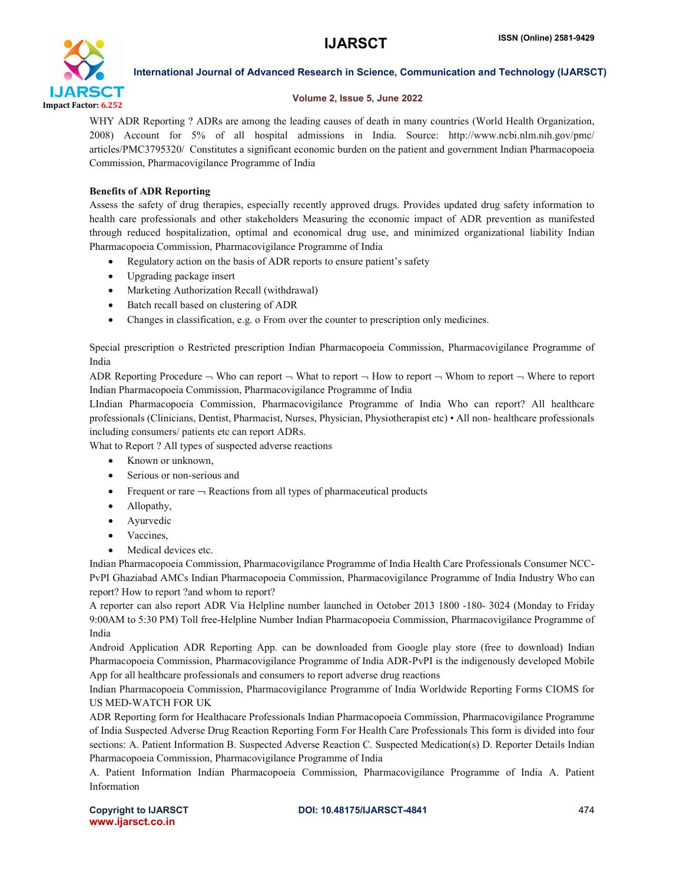

International Journal of Advanced Research in Science, Communication and Technology (IJARSCT)

# Volume 2, Issue 5, June 2022

WHY ADR Reporting ? ADRs are among the leading causes of death in many countries (World Health Organization, 2008) Account for 5% of all hospital admissions in India. Source: http://www.ncbi.nlm.nih.gov/pmc/ articles/PMC3795320/ Constitutes a significant economic burden on the patient and government Indian Pharmacopoeia Commission, Pharmacovigilance Programme of India

# Benefits of ADR Reporting

Assess the safety of drug therapies, especially recently approved drugs. Provides updated drug safety information to health care professionals and other stakeholders Measuring the economic impact of ADR prevention as manifested through reduced hospitalization, optimal and economical drug use, and minimized organizational liability Indian Pharmacopoeia Commission, Pharmacovigilance Programme of India

- Regulatory action on the basis of ADR reports to ensure patient's safety
- Upgrading package insert
- Marketing Authorization Recall (withdrawal)
- Batch recall based on clustering of ADR
- Changes in classification, e.g. o From over the counter to prescription only medicines.

Special prescription o Restricted prescription Indian Pharmacopoeia Commission, Pharmacovigilance Programme of India

ADR Reporting Procedure  $\rightarrow$  Who can report  $\rightarrow$  What to report  $\rightarrow$  How to report  $\rightarrow$  Whom to report  $\rightarrow$  Where to report Indian Pharmacopoeia Commission, Pharmacovigilance Programme of India

LIndian Pharmacopoeia Commission, Pharmacovigilance Programme of India Who can report? All healthcare professionals (Clinicians, Dentist, Pharmacist, Nurses, Physician, Physiotherapist etc) • All non- healthcare professionals including consumers/ patients etc can report ADRs.

What to Report ? All types of suspected adverse reactions

- Known or unknown,
- Serious or non-serious and
- Frequent or rare  $\neg$  Reactions from all types of pharmaceutical products
- Allopathy,
- Ayurvedic
- Vaccines,
- Medical devices etc.

Indian Pharmacopoeia Commission, Pharmacovigilance Programme of India Health Care Professionals Consumer NCC-PvPI Ghaziabad AMCs Indian Pharmacopoeia Commission, Pharmacovigilance Programme of India Industry Who can report? How to report ?and whom to report?

A reporter can also report ADR Via Helpline number launched in October 2013 1800 -180- 3024 (Monday to Friday 9:00AM to 5:30 PM) Toll free-Helpline Number Indian Pharmacopoeia Commission, Pharmacovigilance Programme of India

Android Application ADR Reporting App. can be downloaded from Google play store (free to download) Indian Pharmacopoeia Commission, Pharmacovigilance Programme of India ADR-PvPI is the indigenously developed Mobile App for all healthcare professionals and consumers to report adverse drug reactions

Indian Pharmacopoeia Commission, Pharmacovigilance Programme of India Worldwide Reporting Forms CIOMS for US MED-WATCH FOR UK

ADR Reporting form for Healthacare Professionals Indian Pharmacopoeia Commission, Pharmacovigilance Programme of India Suspected Adverse Drug Reaction Reporting Form For Health Care Professionals This form is divided into four sections: A. Patient Information B. Suspected Adverse Reaction C. Suspected Medication(s) D. Reporter Details Indian Pharmacopoeia Commission, Pharmacovigilance Programme of India

A. Patient Information Indian Pharmacopoeia Commission, Pharmacovigilance Programme of India A. Patient Information